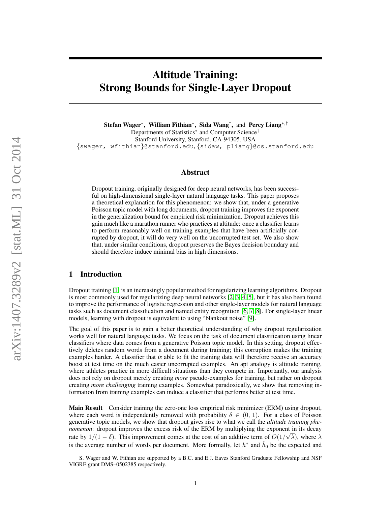# Altitude Training: Strong Bounds for Single-Layer Dropout

Stefan Wager<sup>∗</sup> , William Fithian<sup>∗</sup> , Sida Wang† , and Percy Liang∗,† Departments of Statistics<sup>\*</sup> and Computer Science<sup>†</sup> Stanford University, Stanford, CA-94305, USA {swager, wfithian}@stanford.edu, {sidaw, pliang}@cs.stanford.edu

## Abstract

Dropout training, originally designed for deep neural networks, has been successful on high-dimensional single-layer natural language tasks. This paper proposes a theoretical explanation for this phenomenon: we show that, under a generative Poisson topic model with long documents, dropout training improves the exponent in the generalization bound for empirical risk minimization. Dropout achieves this gain much like a marathon runner who practices at altitude: once a classifier learns to perform reasonably well on training examples that have been artificially corrupted by dropout, it will do very well on the uncorrupted test set. We also show that, under similar conditions, dropout preserves the Bayes decision boundary and should therefore induce minimal bias in high dimensions.

# 1 Introduction

Dropout training [\[1\]](#page-8-0) is an increasingly popular method for regularizing learning algorithms. Dropout is most commonly used for regularizing deep neural networks [\[2,](#page-8-1) [3,](#page-8-2) [4,](#page-8-3) [5\]](#page-8-4), but it has also been found to improve the performance of logistic regression and other single-layer models for natural language tasks such as document classification and named entity recognition [\[6,](#page-8-5) [7,](#page-8-6) [8\]](#page-8-7). For single-layer linear models, learning with dropout is equivalent to using "blankout noise" [\[9\]](#page-8-8).

The goal of this paper is to gain a better theoretical understanding of why dropout regularization works well for natural language tasks. We focus on the task of document classification using linear classifiers where data comes from a generative Poisson topic model. In this setting, dropout effectively deletes random words from a document during training; this corruption makes the training examples harder. A classifier that *is* able to fit the training data will therefore receive an accuracy boost at test time on the much easier uncorrupted examples. An apt analogy is altitude training, where athletes practice in more difficult situations than they compete in. Importantly, our analysis does not rely on dropout merely creating *more* pseudo-examples for training, but rather on dropout creating *more challenging* training examples. Somewhat paradoxically, we show that removing information from training examples can induce a classifier that performs better at test time.

Main Result Consider training the zero-one loss empirical risk minimizer (ERM) using dropout, where each word is independently removed with probability  $\delta \in (0, 1)$ . For a class of Poisson generative topic models, we show that dropout gives rise to what we call the *altitude training phenomenon*: dropout improves the excess risk of the ERM by multiplying the exponent in its decay rate by  $1/(1 - \delta)$ . This improvement comes at the cost of an additive term of  $O(1/\sqrt{\lambda})$ , where  $\lambda$ is the average number of words per document. More formally, let  $h^*$  and  $\hat{h}_0$  be the expected and

S. Wager and W. Fithian are supported by a B.C. and E.J. Eaves Stanford Graduate Fellowship and NSF VIGRE grant DMS–0502385 respectively.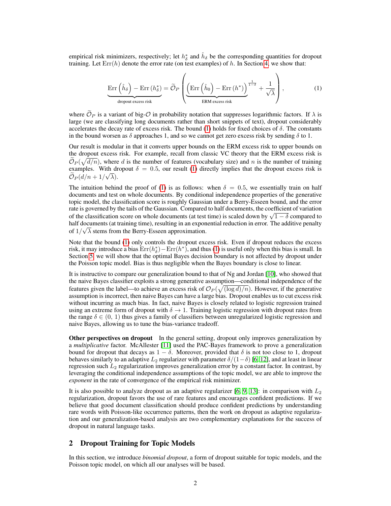empirical risk minimizers, respectively; let  $h^*_{\delta}$  and  $\hat{h}_{\delta}$  be the corresponding quantities for dropout training. Let  $\text{Err}(h)$  denote the error rate (on test examples) of h. In Section [4,](#page-3-0) we show that:

<span id="page-1-0"></span>
$$
\underbrace{\text{Err}\left(\hat{h}_{\delta}\right) - \text{Err}\left(h_{\delta}^{*}\right)}_{\text{dropout excess risk}} = \widetilde{\mathcal{O}}_{P}\left(\underbrace{\left(\text{Err}\left(\hat{h}_{0}\right) - \text{Err}\left(h^{*}\right)\right)}_{\text{ERM excess risk}}^{\frac{1}{1-\delta}} + \frac{1}{\sqrt{\lambda}}\right),\tag{1}
$$

where  $\tilde{\mathcal{O}}_P$  is a variant of big- $\mathcal O$  in probability notation that suppresses logarithmic factors. If  $\lambda$  is large (we are classifying long documents rather than short snippets of text), dropout considerably accelerates the decay rate of excess risk. The bound [\(1\)](#page-1-0) holds for fixed choices of  $\delta$ . The constants in the bound worsen as  $\delta$  approaches 1, and so we cannot get zero excess risk by sending  $\delta$  to 1.

Our result is modular in that it converts upper bounds on the ERM excess risk to upper bounds on the dropout excess risk. For example, recall from classic VC theory that the ERM excess risk is  $\widetilde{\mathcal{O}}_P(\sqrt{d/n})$ , where d is the number of features (vocabulary size) and n is the number of training examples. With dropout  $\delta = 0.5$ , our result [\(1\)](#page-1-0) directly implies that the dropout excess risk is  $\mathcal{O}_P(d/n+1/\sqrt{\lambda}).$ 

The intuition behind the proof of [\(1\)](#page-1-0) is as follows: when  $\delta = 0.5$ , we essentially train on half documents and test on whole documents. By conditional independence properties of the generative topic model, the classification score is roughly Gaussian under a Berry-Esseen bound, and the error rate is governed by the tails of the Gaussian. Compared to half documents, the coefficient of variation rate is governed by the tails of the Gaussian. Compared to half documents, the coefficient of variation<br>of the classification score on whole documents (at test time) is scaled down by  $\sqrt{1-\delta}$  compared to half documents (at training time), resulting in an exponential reduction in error. The additive penalty of  $1/\sqrt{\lambda}$  stems from the Berry-Esseen approximation.

Note that the bound [\(1\)](#page-1-0) only controls the dropout excess risk. Even if dropout reduces the excess risk, it may introduce a bias  $\mathrm{Err}(h^*_{\delta}) - \mathrm{Err}(h^*)$ , and thus [\(1\)](#page-1-0) is useful only when this bias is small. In Section [5,](#page-5-0) we will show that the optimal Bayes decision boundary is not affected by dropout under the Poisson topic model. Bias is thus negligible when the Bayes boundary is close to linear.

It is instructive to compare our generalization bound to that of Ng and Jordan [\[10\]](#page-8-9), who showed that the naive Bayes classifier exploits a strong generative assumption—conditional independence of the features given the label—to achieve an excess risk of  $\mathcal{O}_P(\sqrt{(\log d)/n})$ . However, if the generative assumption is incorrect, then naive Bayes can have a large bias. Dropout enables us to cut excess risk without incurring as much bias. In fact, naive Bayes is closely related to logistic regression trained using an extreme form of dropout with  $\delta \to 1$ . Training logistic regression with dropout rates from the range  $\delta \in (0, 1)$  thus gives a family of classifiers between unregularized logistic regression and naive Bayes, allowing us to tune the bias-variance tradeoff.

**Other perspectives on dropout** In the general setting, dropout only improves generalization by a *multiplicative* factor. McAllester [\[11\]](#page-8-10) used the PAC-Bayes framework to prove a generalization bound for dropout that decays as  $1 - \delta$ . Moreover, provided that  $\delta$  is not too close to 1, dropout behaves similarly to an adaptive  $L_2$  regularizer with parameter  $\delta/(1-\delta)$  [\[6,](#page-8-5) [12\]](#page-8-11), and at least in linear regression such  $L_2$  regularization improves generalization error by a constant factor. In contrast, by leveraging the conditional independence assumptions of the topic model, we are able to improve the *exponent* in the rate of convergence of the empirical risk minimizer.

It is also possible to analyze dropout as an adaptive regularizer [\[6,](#page-8-5) [9,](#page-8-8) [13\]](#page-8-12): in comparison with  $L_2$ regularization, dropout favors the use of rare features and encourages confident predictions. If we believe that good document classification should produce confident predictions by understanding rare words with Poisson-like occurrence patterns, then the work on dropout as adaptive regularization and our generalization-based analysis are two complementary explanations for the success of dropout in natural language tasks.

## 2 Dropout Training for Topic Models

In this section, we introduce *binomial dropout*, a form of dropout suitable for topic models, and the Poisson topic model, on which all our analyses will be based.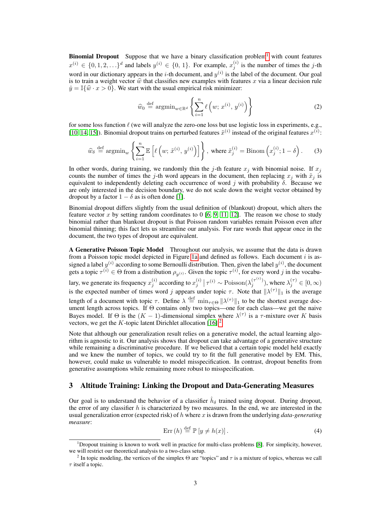**Binomial Dropout** Suppose that we have a binary classification problem<sup>[1](#page-2-0)</sup> with count features  $x^{(i)} \in \{0, 1, 2, \ldots\}^d$  and labels  $y^{(i)} \in \{0, 1\}$ . For example,  $x_j^{(i)}$  is the number of times the j-th word in our dictionary appears in the *i*-th document, and  $y^{(i)}$  is the label of the document. Our goal is to train a weight vector  $\hat{w}$  that classifies new examples with features x via a linear decision rule  $\hat{y} = \mathbb{I}\{\hat{w} \cdot x > 0\}$ . We start with the usual empirical risk minimizer:

<span id="page-2-2"></span>
$$
\widehat{w}_0 \stackrel{\text{def}}{=} \operatorname{argmin}_{w \in \mathbb{R}^d} \left\{ \sum_{i=1}^n \ell\left(w; x^{(i)}, y^{(i)}\right) \right\} \tag{2}
$$

for some loss function  $\ell$  (we will analyze the zero-one loss but use logistic loss in experiments, e.g., [\[10,](#page-8-9) [14,](#page-8-13) [15\]](#page-8-14)). Binomial dropout trains on perturbed features  $\tilde{x}^{(i)}$  instead of the original features  $x^{(i)}$ :

$$
\widehat{w}_{\delta} \stackrel{\text{def}}{=} \operatorname{argmin}_{w} \left\{ \sum_{i=1}^{n} \mathbb{E} \left[ \ell \left( w; \, \tilde{x}^{(i)}, \, y^{(i)} \right) \right] \right\}, \text{ where } \tilde{x}_{j}^{(i)} = \operatorname{Binom} \left( x_{j}^{(i)}; 1 - \delta \right). \tag{3}
$$

In other words, during training, we randomly thin the j-th feature  $x_j$  with binomial noise. If  $x_j$ counts the number of times the j-th word appears in the document, then replacing  $x_j$  with  $\tilde{x}_j$  is equivalent to independently deleting each occurrence of word j with probability  $\delta$ . Because we are only interested in the decision boundary, we do not scale down the weight vector obtained by dropout by a factor  $1 - \delta$  as is often done [\[1\]](#page-8-0).

Binomial dropout differs slightly from the usual definition of (blankout) dropout, which alters the feature vector x by setting random coordinates to  $0 \times 6$ ,  $9$ ,  $11$ ,  $12$ . The reason we chose to study binomial rather than blankout dropout is that Poisson random variables remain Poisson even after binomial thinning; this fact lets us streamline our analysis. For rare words that appear once in the document, the two types of dropout are equivalent.

<span id="page-2-3"></span>A Generative Poisson Topic Model Throughout our analysis, we assume that the data is drawn from a Poisson topic model depicted in Figure [1a](#page-4-0) and defined as follows. Each document  $i$  is assigned a label  $y^{(i)}$  according to some Bernoulli distribution. Then, given the label  $y^{(i)}$ , the document gets a topic  $\tau^{(i)} \in \Theta$  from a distribution  $\rho_{y^{(i)}}$ . Given the topic  $\tau^{(i)}$ , for every word j in the vocabulary, we generate its frequency  $x_j^{(i)}$  according to  $x_j^{(i)} \mid \tau^{(i)} \sim \text{Poisson}(\lambda_j^{(\tau^{(i)})})$ , where  $\lambda_j^{(\tau)} \in [0, \infty)$ is the expected number of times word j appears under topic  $\tau$ . Note that  $\|\lambda^{(\tau)}\|_1$  is the average length of a document with topic  $\tau$ . Define  $\lambda \stackrel{\text{def}}{=} \min_{\tau \in \Theta} ||\lambda^{(\tau)}||_1$  to be the shortest average document length across topics. If Θ contains only two topics—one for each class—we get the naive Bayes model. If  $\Theta$  is the  $(K-1)$ -dimensional simplex where  $\lambda^{(\tau)}$  is a  $\tau$ -mixture over K basis vectors, we get the  $K$ -topic latent Dirichlet allocation [\[16\]](#page-8-15).<sup>[2](#page-2-1)</sup>

Note that although our generalization result relies on a generative model, the actual learning algorithm is agnostic to it. Our analysis shows that dropout can take advantage of a generative structure while remaining a discriminative procedure. If we believed that a certain topic model held exactly and we knew the number of topics, we could try to fit the full generative model by EM. This, however, could make us vulnerable to model misspecification. In contrast, dropout benefits from generative assumptions while remaining more robust to misspecification.

# 3 Altitude Training: Linking the Dropout and Data-Generating Measures

Our goal is to understand the behavior of a classifier  $\hat{h}_{\delta}$  trained using dropout. During dropout, the error of any classifier  $h$  is characterized by two measures. In the end, we are interested in the usual generalization error (expected risk) of h where x is drawn from the underlying *data-generating measure*:

$$
Err(h) \stackrel{\text{def}}{=} \mathbb{P}\left[y \neq h(x)\right].\tag{4}
$$

<span id="page-2-0"></span><sup>1</sup>Dropout training is known to work well in practice for multi-class problems [\[8\]](#page-8-7). For simplicity, however, we will restrict our theoretical analysis to a two-class setup.

<span id="page-2-1"></span><sup>&</sup>lt;sup>2</sup> In topic modeling, the vertices of the simplex  $\Theta$  are "topics" and  $\tau$  is a mixture of topics, whereas we call  $\tau$  itself a topic.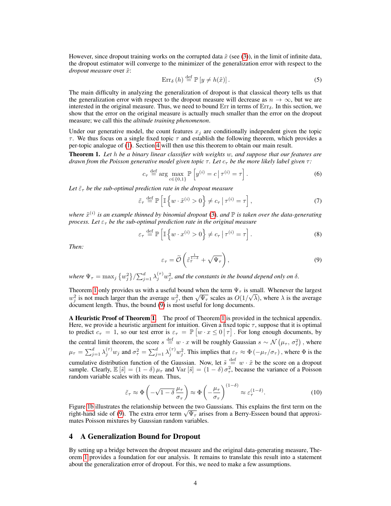However, since dropout training works on the corrupted data  $\tilde{x}$  (see [\(3\)](#page-2-2)), in the limit of infinite data, the dropout estimator will converge to the minimizer of the generalization error with respect to the *dropout measure* over  $\tilde{x}$ :

$$
\operatorname{Err}_{\delta}(h) \stackrel{\text{def}}{=} \mathbb{P}\left[y \neq h(\tilde{x})\right].\tag{5}
$$

The main difficulty in analyzing the generalization of dropout is that classical theory tells us that the generalization error with respect to the dropout measure will decrease as  $n \to \infty$ , but we are interested in the original measure. Thus, we need to bound  $Err$  in terms of  $Err<sub>δ</sub>$ . In this section, we show that the error on the original measure is actually much smaller than the error on the dropout measure; we call this the *altitude training phenomenon*.

Under our generative model, the count features  $x_i$  are conditionally independent given the topic  $\tau$ . We thus focus on a single fixed topic  $\tau$  and establish the following theorem, which provides a per-topic analogue of [\(1\)](#page-1-0). Section [4](#page-3-0) will then use this theorem to obtain our main result.

<span id="page-3-1"></span>Theorem 1. *Let* h *be a binary linear classifier with weights* w*, and suppose that our features are drawn from the Poisson generative model given topic*  $\tau$ *. Let*  $c_{\tau}$  *be the more likely label given*  $\tau$ *:* 

<span id="page-3-4"></span>
$$
c_{\tau} \stackrel{\text{def}}{=} \arg \max_{c \in \{0,1\}} \mathbb{P}\left[y^{(i)} = c \,|\, \tau^{(i)} = \tau\right].\tag{6}
$$

Let  $\tilde{\varepsilon}_{\tau}$  *be the sub-optimal prediction rate in the dropout measure* 

$$
\tilde{\varepsilon}_{\tau} \stackrel{\text{def}}{=} \mathbb{P}\left[\mathbb{I}\left\{w \cdot \tilde{x}^{(i)} > 0\right\} \neq c_{\tau} \mid \tau^{(i)} = \tau\right],\tag{7}
$$

where  $\tilde{x}^{(i)}$  is an example thinned by binomial dropout [\(3\)](#page-2-2), and  $\mathbb P$  is taken over the data-generating *process. Let*  $\varepsilon_{\tau}$  *be the sub-optimal prediction rate in the original measure* 

$$
\varepsilon_{\tau} \stackrel{\text{def}}{=} \mathbb{P}\left[\mathbb{I}\left\{w \cdot x^{(i)} > 0\right\} \neq c_{\tau} \,|\, \tau^{(i)} = \tau\right].\tag{8}
$$

*Then:*

<span id="page-3-2"></span>
$$
\varepsilon_{\tau} = \widetilde{\mathcal{O}}\left(\widetilde{\varepsilon}_{\tau}^{\frac{1}{1-\delta}} + \sqrt{\Psi_{\tau}}\right),\tag{9}
$$

where  $\Psi_{\tau} = \max_j \{w_j^2\}/\sum_{j=1}^d \lambda_j^{(\tau)} w_j^2$ , and the constants in the bound depend only on  $\delta$ .

Theorem [1](#page-3-1) only provides us with a useful bound when the term  $\Psi_{\tau}$  is small. Whenever the largest Theorem 1 omy provides as with a useful bound when the term  $\Psi_{\tau}$  is small. Whenever the largest  $w_j^2$  is not much larger than the average  $w_j^2$ , then  $\sqrt{\Psi_{\tau}}$  scales as  $O(1/\sqrt{\lambda})$ , where  $\lambda$  is the average document length. Thus, the bound [\(9\)](#page-3-2) is most useful for long documents.

A Heuristic Proof of Theorem [1.](#page-3-1) The proof of Theorem [1](#page-3-1) is provided in the technical appendix. Here, we provide a heuristic argument for intuition. Given a fixed topic  $\tau$ , suppose that it is optimal to predict  $c_{\tau} = 1$ , so our test error is  $\varepsilon_{\tau} = \mathbb{P}\left[w \cdot x \leq 0 \mid \tau\right]$ . For long enough documents, by the central limit theorem, the score  $s \stackrel{\text{def}}{=} w \cdot x$  will be roughly Gaussian  $s \sim \mathcal{N}(\mu_{\tau}, \sigma_{\tau}^2)$ , where  $\mu_{\tau} = \sum_{j=1}^{d} \lambda_j^{(\tau)} w_j$  and  $\sigma_{\tau}^2 = \sum_{j=1}^{d} \lambda_j^{(\tau)} w_j^2$ . This implies that  $\varepsilon_{\tau} \approx \Phi(-\mu_{\tau}/\sigma_{\tau})$ , where  $\Phi$  is the cumulative distribution function of the Gaussian. Now, let  $\tilde{s} \stackrel{\text{def}}{=} w \cdot \tilde{x}$  be the score on a dropout sample. Clearly,  $\mathbb{E}[\tilde{s}] = (1 - \delta) \mu_{\tau}$  and  $\text{Var}[\tilde{s}] = (1 - \delta) \sigma_{\tau}^2$ , because the variance of a Poisson random variable scales with its mean. Thus,

<span id="page-3-3"></span>
$$
\tilde{\varepsilon}_{\tau} \approx \Phi\left(-\sqrt{1-\delta}\,\frac{\mu_{\tau}}{\sigma_{\tau}}\right) \approx \Phi\left(-\frac{\mu_{\tau}}{\sigma_{\tau}}\right)^{(1-\delta)} \approx \varepsilon_{\tau}^{(1-\delta)}.\tag{10}
$$

Figure [1b](#page-4-0) illustrates the relationship between the two Gaussians. This explains the first term on the Figure 16 illustrates the relationship between the two Gaussians. This explains the first term on the right-hand side of [\(9\)](#page-3-2). The extra error term  $\sqrt{\Psi_{\tau}}$  arises from a Berry-Esseen bound that approximates Poisson mixtures by Gaussian random variables.

## <span id="page-3-0"></span>4 A Generalization Bound for Dropout

By setting up a bridge between the dropout measure and the original data-generating measure, Theorem [1](#page-3-1) provides a foundation for our analysis. It remains to translate this result into a statement about the generalization error of dropout. For this, we need to make a few assumptions.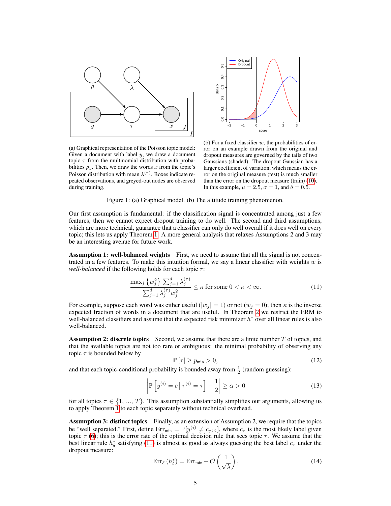<span id="page-4-0"></span>



(a) Graphical representation of the Poisson topic model: Given a document with label  $y$ , we draw a document topic  $\tau$  from the multinomial distribution with probabilities  $\rho_y$ . Then, we draw the words x from the topic's Poisson distribution with mean  $\lambda^{(\tau)}$ . Boxes indicate repeated observations, and greyed-out nodes are observed during training.

(b) For a fixed classifier  $w$ , the probabilities of error on an example drawn from the original and dropout measures are governed by the tails of two Gaussians (shaded). The dropout Gaussian has a larger coefficient of variation, which means the error on the original measure (test) is much smaller than the error on the dropout measure (train) [\(10\)](#page-3-3). In this example,  $\mu = 2.5$ ,  $\sigma = 1$ , and  $\delta = 0.5$ .

Figure 1: (a) Graphical model. (b) The altitude training phenomenon.

Our first assumption is fundamental: if the classification signal is concentrated among just a few features, then we cannot expect dropout training to do well. The second and third assumptions, which are more technical, guarantee that a classifier can only do well overall if it does well on every topic; this lets us apply Theorem [1.](#page-3-1) A more general analysis that relaxes Assumptions 2 and 3 may be an interesting avenue for future work.

**Assumption 1: well-balanced weights** First, we need to assume that all the signal is not concentrated in a few features. To make this intuition formal, we say a linear classifier with weights  $w$  is *well-balanced* if the following holds for each topic  $\tau$ :

<span id="page-4-1"></span>
$$
\frac{\max_{j} \{w_j^2\} \sum_{j=1}^d \lambda_j^{(\tau)}}{\sum_{j=1}^d \lambda_j^{(\tau)} w_j^2} \le \kappa \text{ for some } 0 < \kappa < \infty. \tag{11}
$$

For example, suppose each word was either useful ( $|w_j| = 1$ ) or not ( $w_j = 0$ ); then  $\kappa$  is the inverse expected fraction of words in a document that are useful. In Theorem [2](#page-5-1) we restrict the ERM to well-balanced classifiers and assume that the expected risk minimizer  $h^*$  over all linear rules is also well-balanced.

**Assumption 2: discrete topics** Second, we assume that there are a finite number  $T$  of topics, and that the available topics are not too rare or ambiguous: the minimal probability of observing any topic  $\tau$  is bounded below by

<span id="page-4-3"></span>
$$
\mathbb{P}\left[\tau\right] \ge p_{\min} > 0,\tag{12}
$$

and that each topic-conditional probability is bounded away from  $\frac{1}{2}$  (random guessing):

$$
\left| \mathbb{P} \left[ y^{(i)} = c \, \middle| \, \tau^{(i)} = \tau \right] - \frac{1}{2} \right| \ge \alpha > 0 \tag{13}
$$

for all topics  $\tau \in \{1, ..., T\}$ . This assumption substantially simplifies our arguments, allowing us to apply Theorem [1](#page-3-1) to each topic separately without technical overhead.

Assumption 3: distinct topics Finally, as an extension of Assumption 2, we require that the topics be "well separated." First, define  $Err_{min} = \mathbb{P}[y^{(i)} \neq c_{\tau(i)}]$ , where  $c_{\tau}$  is the most likely label given topic  $\tau$  [\(6\)](#page-3-4); this is the error rate of the optimal decision rule that sees topic  $\tau$ . We assume that the best linear rule  $h^*_{\delta}$  satisfying [\(11\)](#page-4-1) is almost as good as always guessing the best label  $c_{\tau}$  under the dropout measure:

<span id="page-4-2"></span>
$$
Err_{\delta}\left(h_{\delta}^{*}\right) = Err_{\min} + \mathcal{O}\left(\frac{1}{\sqrt{\lambda}}\right),\tag{14}
$$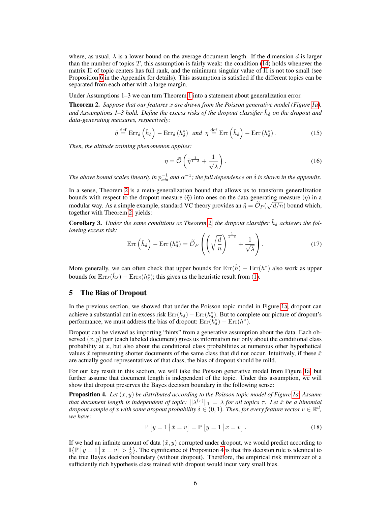where, as usual,  $\lambda$  is a lower bound on the average document length. If the dimension d is larger than the number of topics  $T$ , this assumption is fairly weak: the condition [\(14\)](#page-4-2) holds whenever the matrix  $\Pi$  of topic centers has full rank, and the minimum singular value of  $\Pi$  is not too small (see Proposition [6](#page-13-0) in the Appendix for details). This assumption is satisfied if the different topics can be separated from each other with a large margin.

Under Assumptions 1–3 we can turn Theorem [1](#page-3-1) into a statement about generalization error.

<span id="page-5-1"></span>Theorem 2. *Suppose that our features* x *are drawn from the Poisson generative model (Figure [1a\)](#page-4-0),* and Assumptions 1–3 hold. Define the excess risks of the dropout classifier  $\hat{h}_\delta$  on the dropout and *data-generating measures, respectively:*

$$
\tilde{\eta} \stackrel{\text{def}}{=} \text{Err}_{\delta} \left( \hat{h}_{\delta} \right) - \text{Err}_{\delta} \left( h_{\delta}^{*} \right) \quad \text{and} \quad \eta \stackrel{\text{def}}{=} \text{Err} \left( \hat{h}_{\delta} \right) - \text{Err} \left( h_{\delta}^{*} \right). \tag{15}
$$

*Then, the altitude training phenomenon applies:*

<span id="page-5-5"></span><span id="page-5-3"></span>
$$
\eta = \widetilde{\mathcal{O}}\left(\widetilde{\eta}^{\frac{1}{1-\delta}} + \frac{1}{\sqrt{\lambda}}\right). \tag{16}
$$

The above bound scales linearly in  $p_{min}^{-1}$  and  $\alpha^{-1}$ ; the full dependence on  $\delta$  is shown in the appendix.

In a sense, Theorem [2](#page-5-1) is a meta-generalization bound that allows us to transform generalization bounds with respect to the dropout measure  $(\tilde{\eta})$  into ones on the data-generating measure  $(\eta)$  in a modular way. As a simple example, standard VC theory provides an  $\tilde{\eta} = \tilde{\mathcal{O}}_P(\sqrt{d/n})$  bound which, together with Theorem [2,](#page-5-1) yields:

<span id="page-5-4"></span>**Corollary 3.** Under the same conditions as Theorem [2,](#page-5-1) the dropout classifier  $\hat{h}_{\delta}$  achieves the fol*lowing excess risk:*

$$
\operatorname{Err}\left(\hat{h}_{\delta}\right) - \operatorname{Err}\left(h_{\delta}^*\right) = \widetilde{\mathcal{O}}_P\left(\left(\sqrt{\frac{d}{n}}\right)^{\frac{1}{1-\delta}} + \frac{1}{\sqrt{\lambda}}\right). \tag{17}
$$

More generally, we can often check that upper bounds for  $\text{Err}(\hat{h}) - \text{Err}(h^*)$  also work as upper bounds for  $Err_\delta(\hat{h}_\delta) - Err_\delta(h^*_\delta)$ ; this gives us the heuristic result from [\(1\)](#page-1-0).

#### <span id="page-5-0"></span>5 The Bias of Dropout

In the previous section, we showed that under the Poisson topic model in Figure [1a,](#page-4-0) dropout can achieve a substantial cut in excess risk  $Err(\hat{h}_{\delta}) - Err(h^*_{\delta})$ . But to complete our picture of dropout's performance, we must address the bias of dropout:  $Err(h^*_{\delta}) - Err(h^*)$ .

Dropout can be viewed as importing "hints" from a generative assumption about the data. Each observed  $(x, y)$  pair (each labeled document) gives us information not only about the conditional class probability at x, but also about the conditional class probabilities at numerous other hypothetical values  $\tilde{x}$  representing shorter documents of the same class that did not occur. Intuitively, if these  $\tilde{x}$ are actually good representatives of that class, the bias of dropout should be mild.

For our key result in this section, we will take the Poisson generative model from Figure [1a,](#page-4-0) but further assume that document length is independent of the topic. Under this assumption, we will show that dropout preserves the Bayes decision boundary in the following sense:

<span id="page-5-2"></span>Proposition 4. *Let* (x, y) *be distributed according to the Poisson topic model of Figure [1a.](#page-4-0) Assume that document length is independent of topic:*  $\|\lambda^{(\tau)}\|_1 = \lambda$  *for all topics*  $\tau$ *. Let*  $\tilde{x}$  *be a binomial dropout sample of x with some dropout probability*  $\delta \in (0,1)$  . Then, for every feature vector  $v \in \mathbb{R}^d$  , *we have:*

$$
\mathbb{P}\left[y=1 \,|\, \tilde{x}=v\right] = \mathbb{P}\left[y=1 \,|\, x=v\right].\tag{18}
$$

If we had an infinite amount of data  $(\tilde{x}, y)$  corrupted under dropout, we would predict according to  $\mathbb{I}\{\mathbb{P}\left[y=1 \mid \tilde{x}=v\right] > \frac{1}{2}\}.$  The significance of Proposition [4](#page-5-2) is that this decision rule is identical to the time Representation of a strategy of a strategy of a strategy of the contribution of a strategy of a the true Bayes decision boundary (without dropout). Therefore, the empirical risk minimizer of a sufficiently rich hypothesis class trained with dropout would incur very small bias.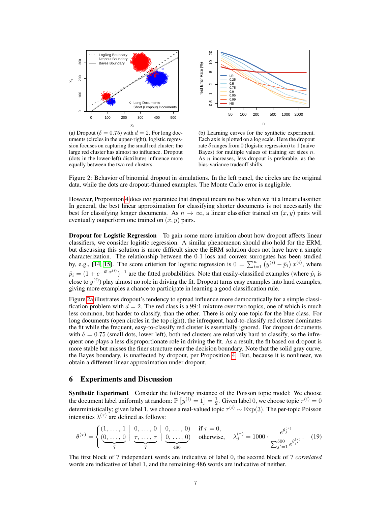<span id="page-6-0"></span>

(a) Dropout ( $\delta = 0.75$ ) with  $d = 2$ . For long documents (circles in the upper-right), logistic regression focuses on capturing the small red cluster; the large red cluster has almost no influence. Dropout (dots in the lower-left) distributes influence more equally between the two red clusters.



(b) Learning curves for the synthetic experiment. Each axis is plotted on a log scale. Here the dropout rate  $\delta$  ranges from 0 (logistic regression) to 1 (naive Bayes) for multiple values of training set sizes  $n$ . As  $n$  increases, less dropout is preferable, as the bias-variance tradeoff shifts.

Figure 2: Behavior of binomial dropout in simulations. In the left panel, the circles are the original data, while the dots are dropout-thinned examples. The Monte Carlo error is negligible.

However, Proposition [4](#page-5-2) does *not* guarantee that dropout incurs no bias when we fit a linear classifier. In general, the best linear approximation for classifying shorter documents is not necessarily the best for classifying longer documents. As  $n \to \infty$ , a linear classifier trained on  $(x, y)$  pairs will eventually outperform one trained on  $(\tilde{x}, y)$  pairs.

Dropout for Logistic Regression To gain some more intuition about how dropout affects linear classifiers, we consider logistic regression. A similar phenomenon should also hold for the ERM, but discussing this solution is more difficult since the ERM solution does not have have a simple characterization. The relationship between the 0-1 loss and convex surrogates has been studied by, e.g., [\[14,](#page-8-13) [15\]](#page-8-14). The score criterion for logistic regression is  $0 = \sum_{i=1}^{n} (y^{(i)} - \hat{p}_i) x^{(i)}$ , where  $\hat{p}_i = (1 + e^{-\hat{w} \cdot x^{(i)}})^{-1}$  are the fitted probabilities. Note that easily-classified examples (where  $\hat{p}_i$  is close to  $y^{(i)}$ ) play almost no role in driving the fit. Dropout turns easy examples into hard examples, giving more examples a chance to participate in learning a good classification rule.

Figure [2a](#page-6-0) illustrates dropout's tendency to spread influence more democratically for a simple classification problem with  $d = 2$ . The red class is a 99:1 mixture over two topics, one of which is much less common, but harder to classify, than the other. There is only one topic for the blue class. For long documents (open circles in the top right), the infrequent, hard-to-classify red cluster dominates the fit while the frequent, easy-to-classify red cluster is essentially ignored. For dropout documents with  $\delta = 0.75$  (small dots, lower left), both red clusters are relatively hard to classify, so the infrequent one plays a less disproportionate role in driving the fit. As a result, the fit based on dropout is more stable but misses the finer structure near the decision boundary. Note that the solid gray curve, the Bayes boundary, is unaffected by dropout, per Proposition [4.](#page-5-2) But, because it is nonlinear, we obtain a different linear approximation under dropout.

## 6 Experiments and Discussion

Synthetic Experiment Consider the following instance of the Poisson topic model: We choose the document label uniformly at random:  $\mathbb{P}\left[y^{(i)}=1\right]=\frac{1}{2}$ . Given label 0, we choose topic  $\tau^{(i)}=0$ deterministically; given label 1, we choose a real-valued topic  $\tau^{(i)} \sim \text{Exp}(3)$ . The per-topic Poisson intensities  $\lambda^{(\tau)}$  are defined as follows:

$$
\theta^{(\tau)} = \begin{cases} (1, \ldots, 1 \mid 0, \ldots, 0 \mid 0, \ldots, 0) & \text{if } \tau = 0, \\ \frac{(0, \ldots, 0 \mid \tau, \ldots, \tau \mid 0, \ldots, 0)}{\tau} & \text{otherwise,} \end{cases} \quad \lambda_j^{(\tau)} = 1000 \cdot \frac{e^{\theta_j^{(\tau)}}}{\sum_{j'=1}^{500} e^{\theta_{j'}^{(\tau)}}}. \quad (19)
$$

The first block of 7 independent words are indicative of label 0, the second block of 7 *correlated* words are indicative of label 1, and the remaining 486 words are indicative of neither.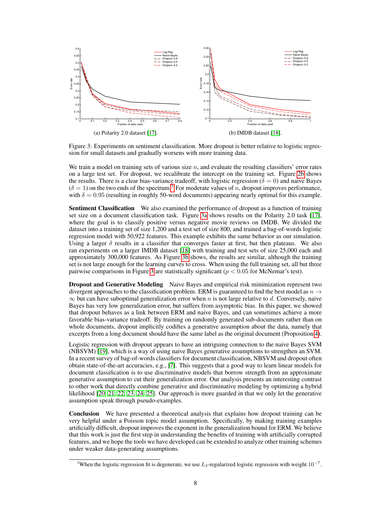<span id="page-7-1"></span>

Figure 3: Experiments on sentiment classification. More dropout is better relative to logistic regression for small datasets and gradually worsens with more training data.

We train a model on training sets of various size  $n$ , and evaluate the resulting classifiers' error rates on a large test set. For dropout, we recalibrate the intercept on the training set. Figure [2b](#page-6-0) shows the results. There is a clear bias-variance tradeoff, with logistic regression ( $\delta = 0$ ) and naive Bayes  $(\delta = 1)$  on the two ends of the spectrum.<sup>[3](#page-7-0)</sup> For moderate values of *n*, dropout improves performance, with  $\delta = 0.95$  (resulting in roughly 50-word documents) appearing nearly optimal for this example.

Sentiment Classification We also examined the performance of dropout as a function of training set size on a document classification task. Figure [3a](#page-7-1) shows results on the Polarity 2.0 task [\[17\]](#page-8-16), where the goal is to classify positive versus negative movie reviews on IMDB. We divided the dataset into a training set of size 1,200 and a test set of size 800, and trained a bag-of-words logistic regression model with 50,922 features. This example exhibits the same behavior as our simulation. Using a larger  $\delta$  results in a classifier that converges faster at first, but then plateaus. We also ran experiments on a larger IMDB dataset [\[18\]](#page-8-17) with training and test sets of size 25,000 each and approximately 300,000 features. As Figure [3b](#page-7-1) shows, the results are similar, although the training set is not large enough for the learning curves to cross. When using the full training set, all but three pairwise comparisons in Figure [3](#page-7-1) are statistically significant ( $p < 0.05$  for McNemar's test).

**Dropout and Generative Modeling** Naive Bayes and empirical risk minimization represent two divergent approaches to the classification problem. ERM is guaranteed to find the best model as  $n \rightarrow$  $\infty$  but can have suboptimal generalization error when n is not large relative to d. Conversely, naive Bayes has very low generalization error, but suffers from asymptotic bias. In this paper, we showed that dropout behaves as a link between ERM and naive Bayes, and can sometimes achieve a more favorable bias-variance tradeoff. By training on randomly generated sub-documents rather than on whole documents, dropout implicitly codifies a generative assumption about the data, namely that excerpts from a long document should have the same label as the original document (Proposition [4\)](#page-5-2).

Logistic regression with dropout appears to have an intriguing connection to the naive Bayes SVM (NBSVM) [\[19\]](#page-8-18), which is a way of using naive Bayes generative assumptions to strengthen an SVM. In a recent survey of bag-of-words classifiers for document classification, NBSVM and dropout often obtain state-of-the-art accuracies, e.g., [\[7\]](#page-8-6). This suggests that a good way to learn linear models for document classification is to use discriminative models that borrow strength from an approximate generative assumption to cut their generalization error. Our analysis presents an interesting contrast to other work that directly combine generative and discriminative modeling by optimizing a hybrid likelihood [\[20,](#page-8-19) [21,](#page-8-20) [22,](#page-8-21) [23,](#page-8-22) [24,](#page-8-23) [25\]](#page-8-24). Our approach is more guarded in that we only let the generative assumption speak through pseudo-examples.

Conclusion We have presented a theoretical analysis that explains how dropout training can be very helpful under a Poisson topic model assumption. Specifically, by making training examples artificially difficult, dropout improves the exponent in the generalization bound for ERM. We believe that this work is just the first step in understanding the benefits of training with artificially corrupted features, and we hope the tools we have developed can be extended to analyze other training schemes under weaker data-generating assumptions.

<span id="page-7-0"></span><sup>&</sup>lt;sup>3</sup>When the logistic regression fit is degenerate, we use  $L_2$ -regularized logistic regression with weight 10<sup>-7</sup>.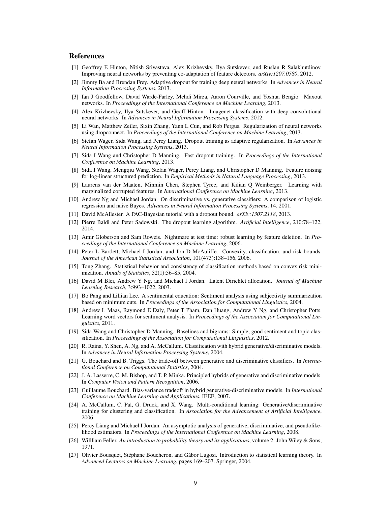### References

- <span id="page-8-0"></span>[1] Geoffrey E Hinton, Nitish Srivastava, Alex Krizhevsky, Ilya Sutskever, and Ruslan R Salakhutdinov. Improving neural networks by preventing co-adaptation of feature detectors. *arXiv:1207.0580*, 2012.
- <span id="page-8-1"></span>[2] Jimmy Ba and Brendan Frey. Adaptive dropout for training deep neural networks. In *Advances in Neural Information Processing Systems*, 2013.
- <span id="page-8-2"></span>[3] Ian J Goodfellow, David Warde-Farley, Mehdi Mirza, Aaron Courville, and Yoshua Bengio. Maxout networks. In *Proceedings of the International Conference on Machine Learning*, 2013.
- <span id="page-8-3"></span>[4] Alex Krizhevsky, Ilya Sutskever, and Geoff Hinton. Imagenet classification with deep convolutional neural networks. In *Advances in Neural Information Processing Systems*, 2012.
- <span id="page-8-4"></span>[5] Li Wan, Matthew Zeiler, Sixin Zhang, Yann L Cun, and Rob Fergus. Regularization of neural networks using dropconnect. In *Proceedings of the International Conference on Machine Learning*, 2013.
- <span id="page-8-5"></span>[6] Stefan Wager, Sida Wang, and Percy Liang. Dropout training as adaptive regularization. In *Advances in Neural Information Processing Systems*, 2013.
- <span id="page-8-6"></span>[7] Sida I Wang and Christopher D Manning. Fast dropout training. In *Proceedings of the International Conference on Machine Learning*, 2013.
- <span id="page-8-7"></span>[8] Sida I Wang, Mengqiu Wang, Stefan Wager, Percy Liang, and Christopher D Manning. Feature noising for log-linear structured prediction. In *Empirical Methods in Natural Language Processing*, 2013.
- <span id="page-8-8"></span>[9] Laurens van der Maaten, Minmin Chen, Stephen Tyree, and Kilian Q Weinberger. Learning with marginalized corrupted features. In *International Conference on Machine Learning*, 2013.
- <span id="page-8-9"></span>[10] Andrew Ng and Michael Jordan. On discriminative vs. generative classifiers: A comparison of logistic regression and naive Bayes. *Advances in Neural Information Processing Systems*, 14, 2001.
- <span id="page-8-10"></span>[11] David McAllester. A PAC-Bayesian tutorial with a dropout bound. *arXiv:1307.2118*, 2013.
- <span id="page-8-11"></span>[12] Pierre Baldi and Peter Sadowski. The dropout learning algorithm. *Artificial Intelligence*, 210:78–122, 2014.
- <span id="page-8-12"></span>[13] Amir Globerson and Sam Roweis. Nightmare at test time: robust learning by feature deletion. In *Proceedings of the International Conference on Machine Learning*, 2006.
- <span id="page-8-13"></span>[14] Peter L Bartlett, Michael I Jordan, and Jon D McAuliffe. Convexity, classification, and risk bounds. *Journal of the American Statistical Association*, 101(473):138–156, 2006.
- <span id="page-8-14"></span>[15] Tong Zhang. Statistical behavior and consistency of classification methods based on convex risk minimization. *Annals of Statistics*, 32(1):56–85, 2004.
- <span id="page-8-15"></span>[16] David M Blei, Andrew Y Ng, and Michael I Jordan. Latent Dirichlet allocation. *Journal of Machine Learning Research*, 3:993–1022, 2003.
- <span id="page-8-16"></span>[17] Bo Pang and Lillian Lee. A sentimental education: Sentiment analysis using subjectivity summarization based on minimum cuts. In *Proceedings of the Association for Computational Linguistics*, 2004.
- <span id="page-8-17"></span>[18] Andrew L Maas, Raymond E Daly, Peter T Pham, Dan Huang, Andrew Y Ng, and Christopher Potts. Learning word vectors for sentiment analysis. In *Proceedings of the Association for Computational Linguistics*, 2011.
- <span id="page-8-18"></span>[19] Sida Wang and Christopher D Manning. Baselines and bigrams: Simple, good sentiment and topic classification. In *Proceedings of the Association for Computational Linguistics*, 2012.
- <span id="page-8-19"></span>[20] R. Raina, Y. Shen, A. Ng, and A. McCallum. Classification with hybrid generative/discriminative models. In *Advances in Neural Information Processing Systems*, 2004.
- <span id="page-8-20"></span>[21] G. Bouchard and B. Triggs. The trade-off between generative and discriminative classifiers. In *International Conference on Computational Statistics*, 2004.
- <span id="page-8-21"></span>[22] J. A. Lasserre, C. M. Bishop, and T. P. Minka. Principled hybrids of generative and discriminative models. In *Computer Vision and Pattern Recognition*, 2006.
- <span id="page-8-22"></span>[23] Guillaume Bouchard. Bias-variance tradeoff in hybrid generative-discriminative models. In *International Conference on Machine Learning and Applications*. IEEE, 2007.
- <span id="page-8-23"></span>[24] A. McCallum, C. Pal, G. Druck, and X. Wang. Multi-conditional learning: Generative/discriminative training for clustering and classification. In *Association for the Advancement of Artificial Intelligence*, 2006.
- <span id="page-8-24"></span>[25] Percy Liang and Michael I Jordan. An asymptotic analysis of generative, discriminative, and pseudolikelihood estimators. In *Proceedings of the International Conference on Machine Learning*, 2008.
- <span id="page-8-25"></span>[26] Willliam Feller. *An introduction to probability theory and its applications*, volume 2. John Wiley & Sons, 1971.
- <span id="page-8-26"></span>[27] Olivier Bousquet, Stéphane Boucheron, and Gábor Lugosi. Introduction to statistical learning theory. In *Advanced Lectures on Machine Learning*, pages 169–207. Springer, 2004.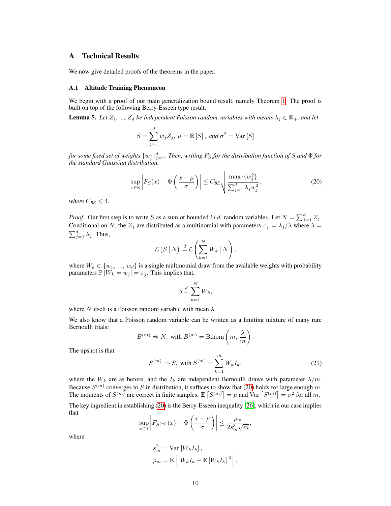## A Technical Results

We now give detailed proofs of the theorems in the paper.

#### A.1 Altitude Training Phenomeon

We begin with a proof of our main generalization bound result, namely Theorem [1.](#page-3-1) The proof is built on top of the following Berry-Esseen type result.

<span id="page-9-1"></span>**Lemma 5.** Let  $Z_1$ , ...,  $Z_d$  be independent Poisson random variables with means  $\lambda_i \in \mathbb{R}_+$ , and let

$$
S = \sum_{j=1}^{d} w_j Z_j, \ \mu = \mathbb{E}[S], \ and \ \sigma^2 = \text{Var}[S]
$$

for some fixed set of weights  $\{w_j\}_{j=1}^d$ . Then, writing  $F_S$  for the distribution function of  $S$  and  $\Phi$  for *the standard Gaussian distribution,*

<span id="page-9-0"></span>
$$
\sup_{x \in \mathbb{R}} \left| F_S(x) - \Phi\left(\frac{x - \mu}{\sigma}\right) \right| \le C_{BE} \sqrt{\frac{\max_j \{w_j^2\}}{\sum_{j=1}^d \lambda_j w_j^2}},\tag{20}
$$

*where*  $C_{BE} \leq 4$ *.* 

*Proof.* Our first step is to write S as a sum of bounded *i.i.d.* random variables. Let  $N = \sum_{j=1}^{d} Z_j$ . Conditional on N, the  $Z_j$  are distributed as a multinomial with parameters  $\pi_j = \lambda_j/\lambda$  where  $\lambda =$  $\sum_{j=1}^d \lambda_j$ . Thus,

$$
\mathcal{L}\left(S\,\big|\,N\right)\stackrel{d}{=}\mathcal{L}\left(\sum_{k=1}^NW_k\,\big|\,N\right),\,
$$

where  $W_k \in \{w_1, ..., w_d\}$  is a single multinomial draw from the available weights with probability parameters  $\mathbb{P} \left[ W_k = w_j \right] = \pi_j$ . This implies that,

$$
S \stackrel{d}{=} \sum_{k=1}^{N} W_k,
$$

where N itself is a Poisson random variable with mean  $\lambda$ .

We also know that a Poisson random variable can be written as a limiting mixture of many rare Bernoulli trials:

$$
B^{(m)} \Rightarrow N, \text{ with } B^{(m)} = \text{Binom}\left(m, \frac{\lambda}{m}\right).
$$

The upshot is that

$$
S^{(m)} \Rightarrow S, \text{ with } S^{(m)} = \sum_{k=1}^{m} W_k I_k,
$$
 (21)

where the  $W_k$  are as before, and the  $I_k$  are independent Bernoulli draws with parameter  $\lambda/m$ . Because  $S^{(m)}$  converges to S in distribution, it suffices to show that [\(20\)](#page-9-0) holds for large enough m. The moments of  $S^{(m)}$  are correct in finite samples:  $\mathbb{E}[S^{(m)}] = \mu$  and  $\text{Var}[S^{(m)}] = \sigma^2$  for all m.

The key ingredient in establishing [\(20\)](#page-9-0) is the Berry-Esseen inequality [\[26\]](#page-8-25), which in our case implies that

$$
\sup_{x \in \mathbb{R}} \left| F_{S^{(m)}}(x) - \Phi\left(\frac{x-\mu}{\sigma}\right) \right| \leq \frac{\rho_m}{2s_m^3 \sqrt{m}},
$$

where

$$
s_m^2 = \text{Var}\left[W_k I_k\right],
$$
  
\n
$$
\rho_m = \mathbb{E}\left[\left|W_k I_k - \mathbb{E}\left[W_k I_k\right]\right|^3\right],
$$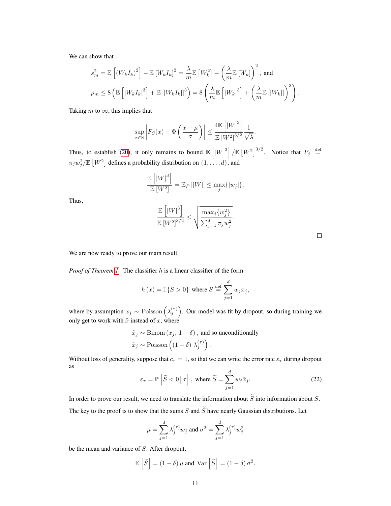We can show that

$$
s_m^2 = \mathbb{E}\left[\left(W_k I_k\right)^2\right] - \mathbb{E}\left[W_k I_k\right]^2 = \frac{\lambda}{m} \mathbb{E}\left[W_k^2\right] - \left(\frac{\lambda}{m} \mathbb{E}\left[W_k\right]\right)^2, \text{ and}
$$
  

$$
\rho_m \le 8 \left(\mathbb{E}\left[\left|W_k I_k\right|^3\right] + \mathbb{E}\left[\left|W_k I_k\right|\right]^3\right) = 8 \left(\frac{\lambda}{m} \mathbb{E}\left[\left|W_k\right|^3\right] + \left(\frac{\lambda}{m} \mathbb{E}\left[\left|W_k\right|\right]\right)^3\right).
$$

Taking m to  $\infty$ , this implies that

$$
\sup_{x \in \mathbb{R}} \left| F_S(x) - \Phi\left(\frac{x-\mu}{\sigma}\right) \right| \le \frac{4 \mathbb{E} \left[ |W|^3 \right]}{\mathbb{E} \left[ W^2 \right]^{3/2}} \frac{1}{\sqrt{\lambda}}.
$$

Thus, to establish [\(20\)](#page-9-0), it only remains to bound  $\mathbb{E} \left[ |W|^3 \right] / \mathbb{E} \left[ W^2 \right]^{3/2}$ . Notice that  $P_j \stackrel{\text{def}}{=}$  $\pi_j w_j^2 / \mathbb{E}\left[ W^2 \right]$  defines a probability distribution on  $\{1, \ldots, d\}$ , and

$$
\frac{\mathbb{E}\left[|W|^3\right]}{\mathbb{E}\left[W^2\right]} = \mathbb{E}_P\left[|W|\right] \le \max_j\{|w_j|\}.
$$

Thus,

$$
\frac{\mathbb{E}\left[|W|^3\right]}{\mathbb{E}\left[W^2\right]^{3/2}} \le \sqrt{\frac{\max_j\{w_j^2\}}{\sum_{j=1}^d \pi_j w_j^2}}.
$$

We are now ready to prove our main result.

*Proof of Theorem [1.](#page-3-1)* The classifier h is a linear classifier of the form

$$
h(x) = \mathbb{I}\left\{S > 0\right\} \text{ where } S \stackrel{\text{def}}{=} \sum_{j=1}^{d} w_j x_j,
$$

where by assumption  $x_j \sim \text{Poisson}\left(\lambda_j^{(\tau)}\right)$ . Our model was fit by dropout, so during training we only get to work with  $\tilde{x}$  instead of x, where

$$
\tilde{x}_j \sim \text{Binom}(x_j, 1 - \delta)
$$
, and so unconditionally  
 $\tilde{x}_j \sim \text{Poisson}((1 - \delta) \lambda_j^{(\tau)})$ .

Without loss of generality, suppose that  $c_\tau = 1$ , so that we can write the error rate  $\varepsilon_\tau$  during dropout as

$$
\varepsilon_{\tau} = \mathbb{P}\left[\widetilde{S} < 0 \,|\, \tau\right], \text{ where } \widetilde{S} = \sum_{j=1}^{d} w_j \widetilde{x}_j. \tag{22}
$$

In order to prove our result, we need to translate the information about  $\widetilde{S}$  into information about S. The key to the proof is to show that the sums S and  $\widetilde{S}$  have nearly Gaussian distributions. Let

$$
\mu = \sum_{j=1}^{d} \lambda_j^{(\tau)} w_j
$$
 and  $\sigma^2 = \sum_{j=1}^{d} \lambda_j^{(\tau)} w_j^2$ 

be the mean and variance of S. After dropout,

$$
\mathbb{E}\left[\widetilde{S}\right] = (1 - \delta)\,\mu \text{ and } \text{Var}\left[\widetilde{S}\right] = (1 - \delta)\,\sigma^2.
$$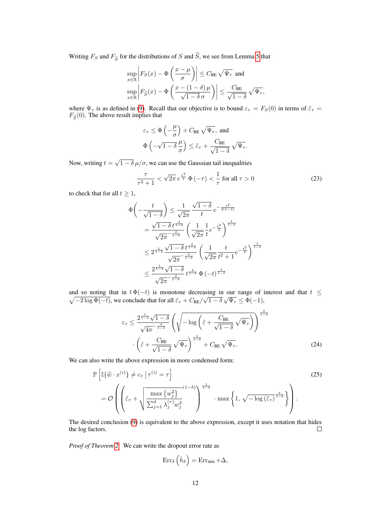Writing  $F_S$  and  $F_{\widetilde{S}}$  for the distributions of S and  $\widetilde{S}$ , we see from Lemma [5](#page-9-1) that

$$
\sup_{x \in \mathbb{R}} \left| F_S(x) - \Phi\left(\frac{x - \mu}{\sigma}\right) \right| \leq C_{\text{BE}} \sqrt{\Psi_{\tau}} \text{ and}
$$

$$
\sup_{x \in \mathbb{R}} \left| F_{\widetilde{S}}(x) - \Phi\left(\frac{x - (1 - \delta)\mu}{\sqrt{1 - \delta}\sigma}\right) \right| \leq \frac{C_{\text{BE}}}{\sqrt{1 - \delta}} \sqrt{\Psi_{\tau}},
$$

where  $\Psi_{\tau}$  is as defined in [\(9\)](#page-3-2). Recall that our objective is to bound  $\varepsilon_{\tau} = F_S(0)$  in terms of  $\tilde{\varepsilon}_{\tau} =$  $F_{\widetilde{S}}(0)$ . The above result implies that

$$
\begin{aligned} &\varepsilon_\tau \leq \Phi\left(-\frac{\mu}{\sigma}\right) + C_\text{BE} \, \sqrt{\Psi_\tau}, \text{ and} \\ &\Phi\left(-\sqrt{1-\delta}\, \frac{\mu}{\sigma}\right) \leq \tilde{\varepsilon}_\tau + \frac{C_\text{BE}}{\sqrt{1-\delta}} \, \sqrt{\Psi_\tau}. \end{aligned}
$$

Now, writing  $t =$ √  $1 - \delta \mu / \sigma$ , we can use the Gaussian tail inequalities

<span id="page-11-1"></span>
$$
\frac{\tau}{\tau^2 + 1} < \sqrt{2\pi} \, e^{\frac{\tau^2}{2}} \, \Phi\left(-\tau\right) < \frac{1}{\tau} \text{ for all } \tau > 0 \tag{23}
$$

to check that for all  $t \geq 1$ ,

$$
\Phi\left(-\frac{t}{\sqrt{1-\delta}}\right) \le \frac{1}{\sqrt{2\pi}} \frac{\sqrt{1-\delta}}{t} e^{-\frac{t^2}{2(1-\delta)}}
$$
\n
$$
= \frac{\sqrt{1-\delta} \, t^{\frac{\delta}{1-\delta}}}{\sqrt{2\pi}^{-\frac{\delta}{1-\delta}}} \left(\frac{1}{\sqrt{2\pi}} \frac{1}{t} e^{-\frac{t^2}{2}}\right)^{\frac{1}{1-\delta}}
$$
\n
$$
\le 2^{\frac{1}{1-\delta}} \frac{\sqrt{1-\delta} \, t^{\frac{\delta}{1-\delta}}}{\sqrt{2\pi}^{-\frac{\delta}{1-\delta}}} \left(\frac{1}{\sqrt{2\pi}} \frac{t}{t^2+1} e^{-\frac{t^2}{2}}\right)^{\frac{1}{1-\delta}}
$$
\n
$$
\le \frac{2^{\frac{1}{1-\delta}} \sqrt{1-\delta}}{\sqrt{2\pi}^{-\frac{\delta}{1-\delta}}} \, t^{\frac{\delta}{1-\delta}} \, \Phi\left(-t\right)^{\frac{1}{1-\delta}}
$$

and so houng that in  $\ell \Psi(-\ell)$  is monotone decreasing in our range of  $\sqrt{\ell-2 \log \Phi(-t)}$ , we conclude that for all  $\tilde{\varepsilon}_{\tau} + C_{\text{BE}}/\sqrt{1-\delta} \sqrt{\Psi_{\tau}} \le \Phi(-1)$ , and so noting that in  $t \Phi(-t)$  is monotone decreasing in our range of interest and that  $t \leq$ 

$$
\varepsilon_{\tau} \leq \frac{2^{\frac{1}{1-\delta}}\sqrt{1-\delta}}{\sqrt{4\pi}^{-\frac{\delta}{1-\delta}}} \left(\sqrt{-\log\left(\tilde{\varepsilon} + \frac{C_{\text{BE}}}{\sqrt{1-\delta}}\sqrt{\Psi_{\tau}}\right)}\right)^{\frac{\delta}{1-\delta}}
$$

$$
\cdot \left(\tilde{\varepsilon} + \frac{C_{\text{BE}}}{\sqrt{1-\delta}}\sqrt{\Psi_{\tau}}\right)^{\frac{1}{1-\delta}} + C_{\text{BE}}\sqrt{\Psi_{\tau}}.\tag{24}
$$

We can also write the above expression in more condensed form:

$$
\mathbb{P}\left[\mathbb{I}\{\hat{w}\cdot x^{(i)}\}\neq c_{\tau} \mid \tau^{(i)} = \tau\right]
$$
\n
$$
= \mathcal{O}\left(\left(\tilde{\varepsilon}_{\tau} + \sqrt{\frac{\max\{w_{j}^{2}\}}{\sum_{j=1}^{d} \lambda_{j}^{(\tau)} w_{j}^{2}}}\right)^{\frac{1}{1-\delta}} \cdot \max\left\{1, \sqrt{-\log\left(\tilde{\varepsilon}_{\tau}\right)^{\frac{\delta}{1-\delta}}}\right\}\right).
$$
\n(25)

The desired conclusion [\(9\)](#page-3-2) is equivalent to the above expression, except it uses notation that hides the log factors.  $\Box$ 

*Proof of Theorem [2.](#page-5-1)* We can write the dropout error rate as

<span id="page-11-0"></span>
$$
\operatorname{Err}_{\delta}\left(\hat{h}_{\delta}\right) = \operatorname{Err}_{\min} + \Delta,
$$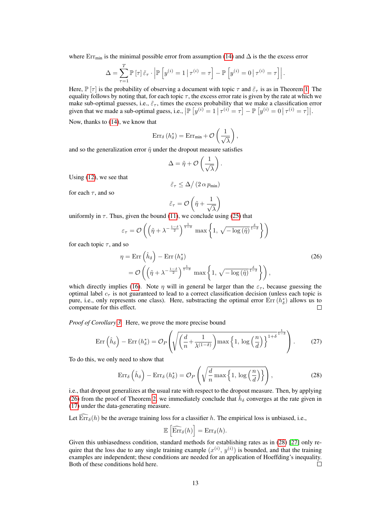where Err<sub>min</sub> is the minimal possible error from assumption [\(14\)](#page-4-2) and  $\Delta$  is the the excess error

$$
\Delta = \sum_{\tau=1}^T \mathbb{P}\left[\tau\right] \tilde{\varepsilon}_{\tau} \cdot \left| \mathbb{P}\left[y^{(i)} = 1 \, \middle| \, \tau^{(i)} = \tau\right] - \mathbb{P}\left[y^{(i)} = 0 \, \middle| \, \tau^{(i)} = \tau\right] \right|.
$$

Here,  $\mathbb{P}[\tau]$  is the probability of observing a document with topic  $\tau$  and  $\tilde{\varepsilon}_{\tau}$  is as in Theorem [1.](#page-3-1) The equality follows by noting that, for each topic  $\tau$ , the excess error rate is given by the rate at which we make sub-optimal guesses, i.e.,  $\tilde{\varepsilon}_\tau$ , times the excess probability that we make a classification error given that we made a sub-optimal guess, i.e.,  $\left| \mathbb{P} \left[ y^{(i)} = 1 \, \middle| \, \tau^{(i)} = \tau \right] - \mathbb{P} \left[ y^{(i)} = 0 \, \middle| \, \tau^{(i)} = \tau \right] \right|$ .

Now, thanks to [\(14\)](#page-4-2), we know that

$$
\operatorname{Err}_{\delta}\left(h_{\delta}^{*}\right) = \operatorname{Err}_{\min} + \mathcal{O}\left(\frac{1}{\sqrt{\lambda}}\right),
$$

and so the generalization error  $\tilde{\eta}$  under the dropout measure satisfies

$$
\Delta = \tilde{\eta} + \mathcal{O}\left(\frac{1}{\sqrt{\lambda}}\right).
$$

Using [\(12\)](#page-4-3), we see that

$$
\tilde{\varepsilon}_{\tau} \leq \Delta / \left( 2 \, \alpha \, p_{\min} \right)
$$

for each  $\tau$ , and so

<span id="page-12-0"></span>
$$
\tilde{\varepsilon}_{\tau} = \mathcal{O}\left(\tilde{\eta} + \frac{1}{\sqrt{\lambda}}\right)
$$

uniformly in  $\tau$ . Thus, given the bound [\(11\)](#page-4-1), we conclude using [\(25\)](#page-11-0) that

$$
\varepsilon_{\tau} = \mathcal{O}\left(\left(\tilde{\eta} + \lambda^{-\frac{1-\delta}{2}}\right)^{\frac{1}{1-\delta}} \max\left\{1, \sqrt{-\log\left(\tilde{\eta}\right)^{\frac{\delta}{1-\delta}}}\right\}\right)
$$

for each topic  $\tau$ , and so

$$
\eta = \text{Err}\left(\hat{h}_{\delta}\right) - \text{Err}\left(h_{\delta}^{*}\right) \tag{26}
$$
\n
$$
= \mathcal{O}\left(\left(\tilde{\eta} + \lambda^{-\frac{1-\delta}{2}}\right)^{\frac{1}{1-\delta}} \max\left\{1, \sqrt{-\log\left(\tilde{\eta}\right)^{\frac{\delta}{1-\delta}}}\right\}\right),
$$

which directly implies [\(16\)](#page-5-3). Note  $\eta$  will in general be larger than the  $\varepsilon_{\tau}$ , because guessing the optimal label  $c_{\tau}$  is not guaranteed to lead to a correct classification decision (unless each topic is pure, i.e., only represents one class). Here, substracting the optimal error  $Err(h^*_{\delta})$  allows us to compensate for this effect. П

*Proof of Corollary [3.](#page-5-4)* Here, we prove the more precise bound

$$
\operatorname{Err}\left(\hat{h}_{\delta}\right) - \operatorname{Err}\left(h_{\delta}^{*}\right) = \mathcal{O}_P\left(\sqrt{\left(\frac{d}{n} + \frac{1}{\lambda^{(1-\delta)}}\right)\max\left\{1, \log\left(\frac{n}{d}\right)\right\}^{1+\delta}}^{\frac{1}{1-\delta}}\right). \tag{27}
$$

To do this, we only need to show that

$$
\operatorname{Err}_{\delta}\left(\hat{h}_{\delta}\right) - \operatorname{Err}_{\delta}\left(h_{\delta}^{*}\right) = \mathcal{O}_{P}\left(\sqrt{\frac{d}{n}\max\left\{1, \log\left(\frac{n}{d}\right)\right\}}\right),\tag{28}
$$

i.e., that dropout generalizes at the usual rate with respect to the dropout measure. Then, by applying [\(26\)](#page-12-0) from the proof of Theorem [2,](#page-5-1) we immediately conclude that  $\hat{h}_{\delta}$  converges at the rate given in [\(17\)](#page-5-5) under the data-generating measure.

Let  $\widehat{\text{Err}}_{\delta}(h)$  be the average training loss for a classifier h. The empirical loss is unbiased, i.e.,

<span id="page-12-1"></span>
$$
\mathbb{E}\left[\widehat{\mathrm{Err}}_{\delta}(h)\right] = \mathrm{Err}_{\delta}(h).
$$

Given this unbiasedness condition, standard methods for establishing rates as in [\(28\)](#page-12-1) [\[27\]](#page-8-26) only require that the loss due to any single training example  $(x^{(i)}, y^{(i)})$  is bounded, and that the training examples are independent; these conditions are needed for an application of Hoeffding's inequality. Both of these conditions hold here.  $\Box$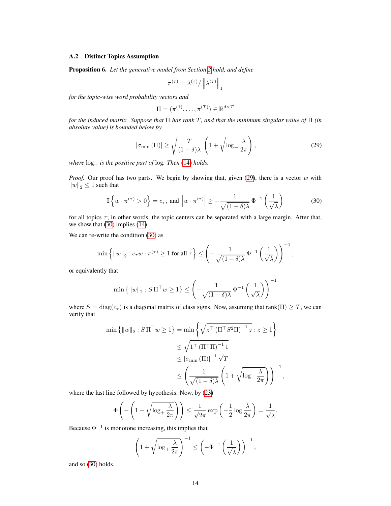## A.2 Distinct Topics Assumption

<span id="page-13-0"></span>Proposition 6. *Let the generative model from Section [2](#page-2-3) hold, and define*

$$
\pi^{(\tau)} = \lambda^{(\tau)} / \left\| \lambda^{(\tau)} \right\|_1
$$

*for the topic-wise word probability vectors and*

<span id="page-13-2"></span>
$$
\Pi = (\pi^{(1)}, \dots, \pi^{(T)}) \in \mathbb{R}^{d \times T}
$$

*for the induced matrix. Suppose that* Π *has rank* T*, and that the minimum singular value of* Π *(in absolute value) is bounded below by*

<span id="page-13-1"></span>
$$
|\sigma_{\min}(\Pi)| \ge \sqrt{\frac{T}{(1-\delta)\lambda}} \left(1 + \sqrt{\log_{+} \frac{\lambda}{2\pi}}\right),\tag{29}
$$

*where*  $log_+$  *is the positive part of*  $log$ *. Then* [\(14\)](#page-4-2) *holds.* 

*Proof.* Our proof has two parts. We begin by showing that, given [\(29\)](#page-13-1), there is a vector w with  $\|w\|_2 \leq 1$  such that

$$
\mathbb{I}\left\{w\cdot\pi^{(\tau)} > 0\right\} = c_{\tau}, \text{ and } \left|w\cdot\pi^{(\tau)}\right| \ge -\frac{1}{\sqrt{(1-\delta)\lambda}} \Phi^{-1}\left(\frac{1}{\sqrt{\lambda}}\right) \tag{30}
$$

for all topics  $\tau$ ; in other words, the topic centers can be separated with a large margin. After that, we show that [\(30\)](#page-13-2) implies [\(14\)](#page-4-2).

We can re-write the condition [\(30\)](#page-13-2) as

$$
\min\left\{\|w\|_2 : c_\tau w \cdot \pi^{(\tau)} \ge 1 \text{ for all } \tau\right\} \le \left(-\frac{1}{\sqrt{(1-\delta)\lambda}} \Phi^{-1}\left(\frac{1}{\sqrt{\lambda}}\right)\right)^{-1},\,
$$

or equivalently that

$$
\min\left\{\|w\|_2: S\,\Pi^\top w \ge 1\right\} \le \left(-\frac{1}{\sqrt{(1-\delta)\lambda}}\,\Phi^{-1}\left(\frac{1}{\sqrt{\lambda}}\right)\right)^{-1}
$$

where  $S = \text{diag}(c_{\tau})$  is a diagonal matrix of class signs. Now, assuming that rank( $\Pi$ )  $\geq T$ , we can verify that

$$
\min \{ ||w||_2 : S\Pi^\top w \ge 1 \} = \min \left\{ \sqrt{z^\top (\Pi^\top S^2 \Pi)^{-1} z} : z \ge 1 \right\}
$$
  

$$
\le \sqrt{1^\top (\Pi^\top \Pi)^{-1} 1}
$$
  

$$
\le |\sigma_{\min} (\Pi)|^{-1} \sqrt{T}
$$
  

$$
\le \left(\frac{1}{\sqrt{(1-\delta)\lambda}} \left(1 + \sqrt{\log_+ \frac{\lambda}{2\pi}}\right)\right)^{-1}
$$

,

.

where the last line followed by hypothesis. Now, by [\(23\)](#page-11-1)

$$
\Phi\left(-\left(1+\sqrt{\log_{+}\frac{\lambda}{2\pi}}\right)\right) \le \frac{1}{\sqrt{2\pi}}\exp\left(-\frac{1}{2}\log\frac{\lambda}{2\pi}\right) = \frac{1}{\sqrt{\lambda}}
$$

Because  $\Phi^{-1}$  is monotone increasing, this implies that

$$
\left(1+\sqrt{\log_{+}\frac{\lambda}{2\pi}}\right)^{-1} \leq \left(-\Phi^{-1}\left(\frac{1}{\sqrt{\lambda}}\right)\right)^{-1},
$$

and so [\(30\)](#page-13-2) holds.